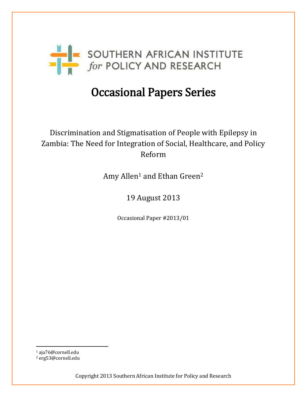

# Occasional Papers Series

## Discrimination and Stigmatisation of People with Epilepsy in Zambia: The Need for Integration of Social, Healthcare, and Policy Reform

Amy Allen<sup>1</sup> and Ethan Green<sup>2</sup>

19 August 2013

Occasional Paper #2013/01

<sup>1</sup> aja76@cornell.edu

 $\overline{\phantom{a}}$ 

<sup>2</sup> erg53@cornell.edu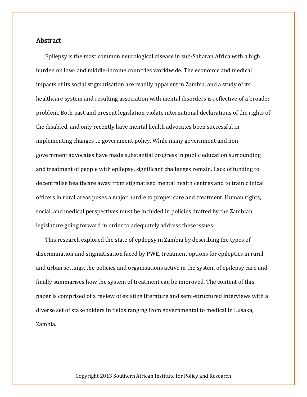## Abstract

Epilepsy is the most common neurological disease in sub-Saharan Africa with a high burden on low- and middle-income countries worldwide. The economic and medical impacts of its social stigmatisation are readily apparent in Zambia, and a study of its healthcare system and resulting association with mental disorders is reflective of a broader problem. Both past and present legislation violate international declarations of the rights of the disabled, and only recently have mental health advocates been successful in implementing changes to government policy. While many government and nongovernment advocates have made substantial progress in public education surrounding and treatment of people with epilepsy, significant challenges remain. Lack of funding to decentralise healthcare away from stigmatised mental health centres and to train clinical officers in rural areas poses a major hurdle to proper care and treatment. Human rights, social, and medical perspectives must be included in policies drafted by the Zambian legislature going forward in order to adequately address these issues.

This research explored the state of epilepsy in Zambia by describing the types of discrimination and stigmatisation faced by PWE, treatment options for epileptics in rural and urban settings, the policies and organisations active in the system of epilepsy care and finally summarises how the system of treatment can be improved. The content of this paper is comprised of a review of existing literature and semi-structured interviews with a diverse set of stakeholders in fields ranging from governmental to medical in Lusaka, Zambia.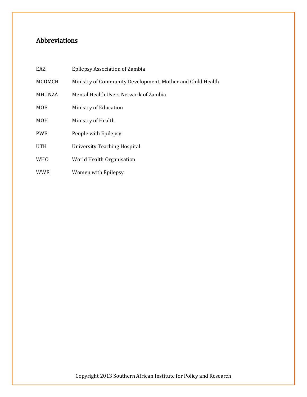## Abbreviations

| EAZ           | Epilepsy Association of Zambia                             |
|---------------|------------------------------------------------------------|
| MCDMCH        | Ministry of Community Development, Mother and Child Health |
| <b>MHUNZA</b> | Mental Health Users Network of Zambia                      |
| <b>MOE</b>    | Ministry of Education                                      |
| <b>MOH</b>    | Ministry of Health                                         |
| <b>PWE</b>    | People with Epilepsy                                       |
| <b>UTH</b>    | University Teaching Hospital                               |
| <b>WHO</b>    | World Health Organisation                                  |
| <b>WWE</b>    | Women with Epilepsy                                        |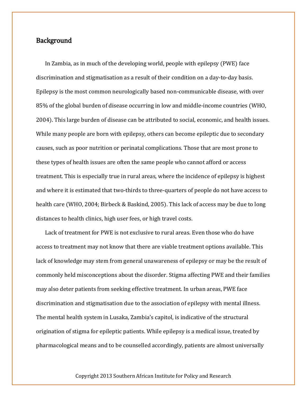## **Background**

In Zambia, as in much of the developing world, people with epilepsy (PWE) face discrimination and stigmatisation as a result of their condition on a day-to-day basis. Epilepsy is the most common neurologically based non-communicable disease, with over 85% of the global burden of disease occurring in low and middle-income countries (WHO, 2004). This large burden of disease can be attributed to social, economic, and health issues. While many people are born with epilepsy, others can become epileptic due to secondary causes, such as poor nutrition or perinatal complications. Those that are most prone to these types of health issues are often the same people who cannot afford or access treatment. This is especially true in rural areas, where the incidence of epilepsy is highest and where it is estimated that two-thirds to three-quarters of people do not have access to health care (WHO, 2004; Birbeck & Baskind, 2005). This lack of access may be due to long distances to health clinics, high user fees, or high travel costs.

Lack of treatment for PWE is not exclusive to rural areas. Even those who do have access to treatment may not know that there are viable treatment options available. This lack of knowledge may stem from general unawareness of epilepsy or may be the result of commonly held misconceptions about the disorder. Stigma affecting PWE and their families may also deter patients from seeking effective treatment. In urban areas, PWE face discrimination and stigmatisation due to the association of epilepsy with mental illness. The mental health system in Lusaka, Zambia's capitol, is indicative of the structural origination of stigma for epileptic patients. While epilepsy is a medical issue, treated by pharmacological means and to be counselled accordingly, patients are almost universally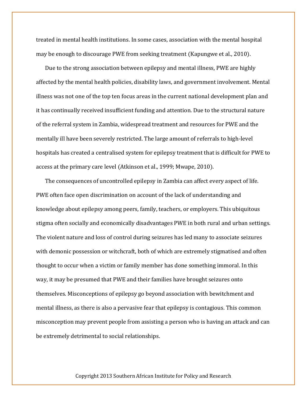treated in mental health institutions. In some cases, association with the mental hospital may be enough to discourage PWE from seeking treatment (Kapungwe et al., 2010).

Due to the strong association between epilepsy and mental illness, PWE are highly affected by the mental health policies, disability laws, and government involvement. Mental illness was not one of the top ten focus areas in the current national development plan and it has continually received insufficient funding and attention. Due to the structural nature of the referral system in Zambia, widespread treatment and resources for PWE and the mentally ill have been severely restricted. The large amount of referrals to high-level hospitals has created a centralised system for epilepsy treatment that is difficult for PWE to access at the primary care level (Atkinson et al., 1999; Mwape, 2010).

The consequences of uncontrolled epilepsy in Zambia can affect every aspect of life. PWE often face open discrimination on account of the lack of understanding and knowledge about epilepsy among peers, family, teachers, or employers. This ubiquitous stigma often socially and economically disadvantages PWE in both rural and urban settings. The violent nature and loss of control during seizures has led many to associate seizures with demonic possession or witchcraft, both of which are extremely stigmatised and often thought to occur when a victim or family member has done something immoral. In this way, it may be presumed that PWE and their families have brought seizures onto themselves. Misconceptions of epilepsy go beyond association with bewitchment and mental illness, as there is also a pervasive fear that epilepsy is contagious. This common misconception may prevent people from assisting a person who is having an attack and can be extremely detrimental to social relationships.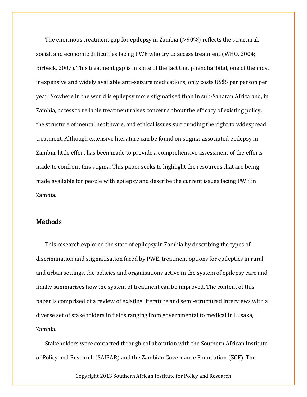The enormous treatment gap for epilepsy in Zambia (>90%) reflects the structural, social, and economic difficulties facing PWE who try to access treatment (WHO, 2004; Birbeck, 2007). This treatment gap is in spite of the fact that phenobarbital, one of the most inexpensive and widely available anti-seizure medications, only costs US\$5 per person per year. Nowhere in the world is epilepsy more stigmatised than in sub-Saharan Africa and, in Zambia, access to reliable treatment raises concerns about the efficacy of existing policy, the structure of mental healthcare, and ethical issues surrounding the right to widespread treatment. Although extensive literature can be found on stigma-associated epilepsy in Zambia, little effort has been made to provide a comprehensive assessment of the efforts made to confront this stigma. This paper seeks to highlight the resources that are being made available for people with epilepsy and describe the current issues facing PWE in Zambia.

## Methods

This research explored the state of epilepsy in Zambia by describing the types of discrimination and stigmatisation faced by PWE, treatment options for epileptics in rural and urban settings, the policies and organisations active in the system of epilepsy care and finally summarises how the system of treatment can be improved. The content of this paper is comprised of a review of existing literature and semi-structured interviews with a diverse set of stakeholders in fields ranging from governmental to medical in Lusaka, Zambia.

Stakeholders were contacted through collaboration with the Southern African Institute of Policy and Research (SAIPAR) and the Zambian Governance Foundation (ZGF). The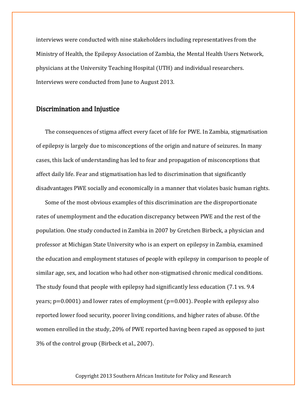interviews were conducted with nine stakeholders including representatives from the Ministry of Health, the Epilepsy Association of Zambia, the Mental Health Users Network, physicians at the University Teaching Hospital (UTH) and individual researchers. Interviews were conducted from June to August 2013.

### Discrimination and Injustice

The consequences of stigma affect every facet of life for PWE. In Zambia, stigmatisation of epilepsy is largely due to misconceptions of the origin and nature of seizures. In many cases, this lack of understanding has led to fear and propagation of misconceptions that affect daily life. Fear and stigmatisation has led to discrimination that significantly disadvantages PWE socially and economically in a manner that violates basic human rights.

Some of the most obvious examples of this discrimination are the disproportionate rates of unemployment and the education discrepancy between PWE and the rest of the population. One study conducted in Zambia in 2007 by Gretchen Birbeck, a physician and professor at Michigan State University who is an expert on epilepsy in Zambia, examined the education and employment statuses of people with epilepsy in comparison to people of similar age, sex, and location who had other non-stigmatised chronic medical conditions. The study found that people with epilepsy had significantly less education (7.1 vs. 9.4 years;  $p=0.0001$ ) and lower rates of employment ( $p=0.001$ ). People with epilepsy also reported lower food security, poorer living conditions, and higher rates of abuse. Of the women enrolled in the study, 20% of PWE reported having been raped as opposed to just 3% of the control group (Birbeck et al., 2007).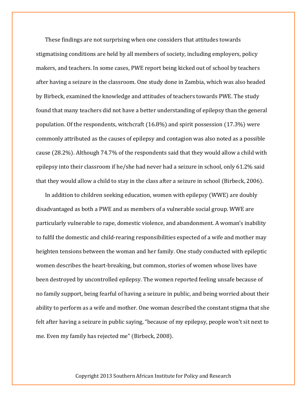These findings are not surprising when one considers that attitudes towards stigmatising conditions are held by all members of society, including employers, policy makers, and teachers. In some cases, PWE report being kicked out of school by teachers after having a seizure in the classroom. One study done in Zambia, which was also headed by Birbeck, examined the knowledge and attitudes of teachers towards PWE. The study found that many teachers did not have a better understanding of epilepsy than the general population. Of the respondents, witchcraft (16.8%) and spirit possession (17.3%) were commonly attributed as the causes of epilepsy and contagion was also noted as a possible cause (28.2%). Although 74.7% of the respondents said that they would allow a child with epilepsy into their classroom if he/she had never had a seizure in school, only 61.2% said that they would allow a child to stay in the class after a seizure in school (Birbeck, 2006).

In addition to children seeking education, women with epilepsy (WWE) are doubly disadvantaged as both a PWE and as members of a vulnerable social group. WWE are particularly vulnerable to rape, domestic violence, and abandonment. A woman's inability to fulfil the domestic and child-rearing responsibilities expected of a wife and mother may heighten tensions between the woman and her family. One study conducted with epileptic women describes the heart-breaking, but common, stories of women whose lives have been destroyed by uncontrolled epilepsy. The women reported feeling unsafe because of no family support, being fearful of having a seizure in public, and being worried about their ability to perform as a wife and mother. One woman described the constant stigma that she felt after having a seizure in public saying, "because of my epilepsy, people won't sit next to me. Even my family has rejected me" (Birbeck, 2008).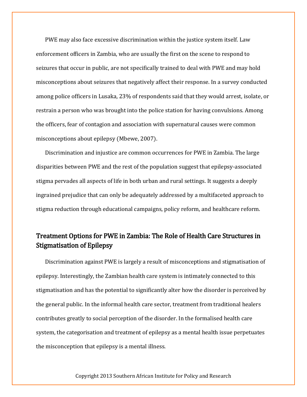PWE may also face excessive discrimination within the justice system itself. Law enforcement officers in Zambia, who are usually the first on the scene to respond to seizures that occur in public, are not specifically trained to deal with PWE and may hold misconceptions about seizures that negatively affect their response. In a survey conducted among police officers in Lusaka, 23% of respondents said that they would arrest, isolate, or restrain a person who was brought into the police station for having convulsions. Among the officers, fear of contagion and association with supernatural causes were common misconceptions about epilepsy (Mbewe, 2007).

Discrimination and injustice are common occurrences for PWE in Zambia. The large disparities between PWE and the rest of the population suggest that epilepsy-associated stigma pervades all aspects of life in both urban and rural settings. It suggests a deeply ingrained prejudice that can only be adequately addressed by a multifaceted approach to stigma reduction through educational campaigns, policy reform, and healthcare reform.

## Treatment Options for PWE in Zambia: The Role of Health Care Structures in Stigmatisation of Epilepsy

Discrimination against PWE is largely a result of misconceptions and stigmatisation of epilepsy. Interestingly, the Zambian health care system is intimately connected to this stigmatisation and has the potential to significantly alter how the disorder is perceived by the general public. In the informal health care sector, treatment from traditional healers contributes greatly to social perception of the disorder. In the formalised health care system, the categorisation and treatment of epilepsy as a mental health issue perpetuates the misconception that epilepsy is a mental illness.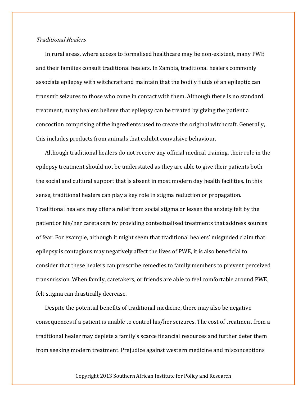### Traditional Healers

In rural areas, where access to formalised healthcare may be non-existent, many PWE and their families consult traditional healers. In Zambia, traditional healers commonly associate epilepsy with witchcraft and maintain that the bodily fluids of an epileptic can transmit seizures to those who come in contact with them. Although there is no standard treatment, many healers believe that epilepsy can be treated by giving the patient a concoction comprising of the ingredients used to create the original witchcraft. Generally, this includes products from animals that exhibit convulsive behaviour.

Although traditional healers do not receive any official medical training, their role in the epilepsy treatment should not be understated as they are able to give their patients both the social and cultural support that is absent in most modern day health facilities. In this sense, traditional healers can play a key role in stigma reduction or propagation. Traditional healers may offer a relief from social stigma or lessen the anxiety felt by the patient or his/her caretakers by providing contextualised treatments that address sources of fear. For example, although it might seem that traditional healers' misguided claim that epilepsy is contagious may negatively affect the lives of PWE, it is also beneficial to consider that these healers can prescribe remedies to family members to prevent perceived transmission. When family, caretakers, or friends are able to feel comfortable around PWE, felt stigma can drastically decrease.

Despite the potential benefits of traditional medicine, there may also be negative consequences if a patient is unable to control his/her seizures. The cost of treatment from a traditional healer may deplete a family's scarce financial resources and further deter them from seeking modern treatment. Prejudice against western medicine and misconceptions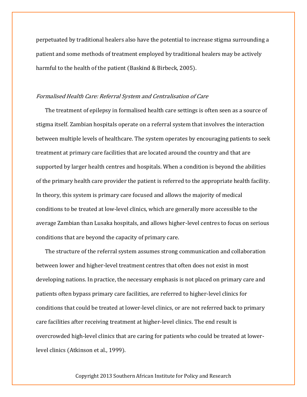perpetuated by traditional healers also have the potential to increase stigma surrounding a patient and some methods of treatment employed by traditional healers may be actively harmful to the health of the patient (Baskind & Birbeck, 2005).

#### Formalised Health Care: Referral System and Centralisation of Care

The treatment of epilepsy in formalised health care settings is often seen as a source of stigma itself. Zambian hospitals operate on a referral system that involves the interaction between multiple levels of healthcare. The system operates by encouraging patients to seek treatment at primary care facilities that are located around the country and that are supported by larger health centres and hospitals. When a condition is beyond the abilities of the primary health care provider the patient is referred to the appropriate health facility. In theory, this system is primary care focused and allows the majority of medical conditions to be treated at low-level clinics, which are generally more accessible to the average Zambian than Lusaka hospitals, and allows higher-level centres to focus on serious conditions that are beyond the capacity of primary care.

The structure of the referral system assumes strong communication and collaboration between lower and higher-level treatment centres that often does not exist in most developing nations. In practice, the necessary emphasis is not placed on primary care and patients often bypass primary care facilities, are referred to higher-level clinics for conditions that could be treated at lower-level clinics, or are not referred back to primary care facilities after receiving treatment at higher-level clinics. The end result is overcrowded high-level clinics that are caring for patients who could be treated at lowerlevel clinics (Atkinson et al., 1999).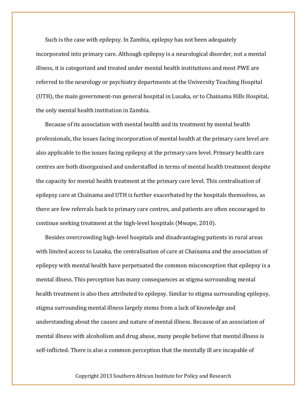Such is the case with epilepsy. In Zambia, epilepsy has not been adequately incorporated into primary care. Although epilepsy is a neurological disorder, not a mental illness, it is categorized and treated under mental health institutions and most PWE are referred to the neurology or psychiatry departments at the University Teaching Hospital (UTH), the main government-run general hospital in Lusaka, or to Chainama Hills Hospital, the only mental health institution in Zambia.

Because of its association with mental health and its treatment by mental health professionals, the issues facing incorporation of mental health at the primary care level are also applicable to the issues facing epilepsy at the primary care level. Primary health care centres are both disorganised and understaffed in terms of mental health treatment despite the capacity for mental health treatment at the primary care level. This centralisation of epilepsy care at Chainama and UTH is further exacerbated by the hospitals themselves, as there are few referrals back to primary care centres, and patients are often encouraged to continue seeking treatment at the high-level hospitals (Mwape, 2010).

Besides overcrowding high-level hospitals and disadvantaging patients in rural areas with limited access to Lusaka, the centralisation of care at Chainama and the association of epilepsy with mental health have perpetuated the common misconception that epilepsy is a mental illness. This perception has many consequences as stigma surrounding mental health treatment is also then attributed to epilepsy. Similar to stigma surrounding epilepsy, stigma surrounding mental illness largely stems from a lack of knowledge and understanding about the causes and nature of mental illness. Because of an association of mental illness with alcoholism and drug abuse, many people believe that mental illness is self-inflicted. There is also a common perception that the mentally ill are incapable of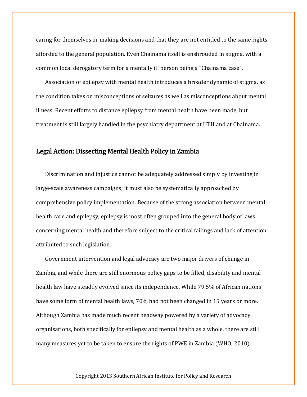caring for themselves or making decisions and that they are not entitled to the same rights afforded to the general population. Even Chainama itself is enshrouded in stigma, with a common local derogatory term for a mentally ill person being a "Chainama case".

Association of epilepsy with mental health introduces a broader dynamic of stigma, as the condition takes on misconceptions of seizures as well as misconceptions about mental illness. Recent efforts to distance epilepsy from mental health have been made, but treatment is still largely handled in the psychiatry department at UTH and at Chainama.

## Legal Action: Dissecting Mental Health Policy in Zambia

Discrimination and injustice cannot be adequately addressed simply by investing in large-scale awareness campaigns; it must also be systematically approached by comprehensive policy implementation. Because of the strong association between mental health care and epilepsy, epilepsy is most often grouped into the general body of laws concerning mental health and therefore subject to the critical failings and lack of attention attributed to such legislation.

Government intervention and legal advocacy are two major drivers of change in Zambia, and while there are still enormous policy gaps to be filled, disability and mental health law have steadily evolved since its independence. While 79.5% of African nations have some form of mental health laws, 70% had not been changed in 15 years or more. Although Zambia has made much recent headway powered by a variety of advocacy organisations, both specifically for epilepsy and mental health as a whole, there are still many measures yet to be taken to ensure the rights of PWE in Zambia (WHO, 2010).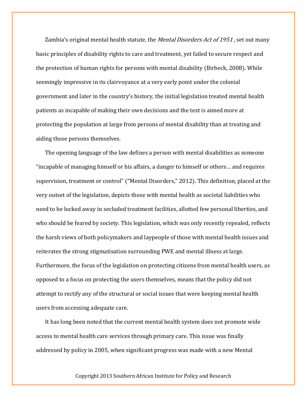Zambia's original mental health statute, the *Mental Disorders Act of 1951*, set out many basic principles of disability rights to care and treatment, yet failed to secure respect and the protection of human rights for persons with mental disability (Birbeck, 2008). While seemingly impressive in its clairvoyance at a very early point under the colonial government and later in the country's history, the initial legislation treated mental health patients as incapable of making their own decisions and the text is aimed more at protecting the population at large from persons of mental disability than at treating and aiding those persons themselves.

The opening language of the law defines a person with mental disabilities as someone "incapable of managing himself or his affairs, a danger to himself or others… and requires supervision, treatment or control" ("Mental Disorders," 2012). This definition, placed at the very outset of the legislation, depicts those with mental health as societal liabilities who need to be locked away in secluded treatment facilities, allotted few personal liberties, and who should be feared by society. This legislation, which was only recently repealed, reflects the harsh views of both policymakers and laypeople of those with mental health issues and reiterates the strong stigmatisation surrounding PWE and mental illness at large. Furthermore, the focus of the legislation on protecting citizens from mental health users, as opposed to a focus on protecting the users themselves, means that the policy did not attempt to rectify any of the structural or social issues that were keeping mental health users from accessing adequate care.

It has long been noted that the current mental health system does not promote wide access to mental health care services through primary care. This issue was finally addressed by policy in 2005, when significant progress was made with a new Mental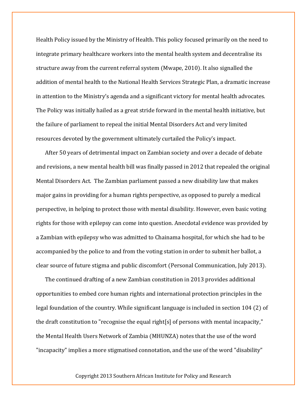Health Policy issued by the Ministry of Health. This policy focused primarily on the need to integrate primary healthcare workers into the mental health system and decentralise its structure away from the current referral system (Mwape, 2010). It also signalled the addition of mental health to the National Health Services Strategic Plan, a dramatic increase in attention to the Ministry's agenda and a significant victory for mental health advocates. The Policy was initially hailed as a great stride forward in the mental health initiative, but the failure of parliament to repeal the initial Mental Disorders Act and very limited resources devoted by the government ultimately curtailed the Policy's impact.

After 50 years of detrimental impact on Zambian society and over a decade of debate and revisions, a new mental health bill was finally passed in 2012 that repealed the original Mental Disorders Act. The Zambian parliament passed a new disability law that makes major gains in providing for a human rights perspective, as opposed to purely a medical perspective, in helping to protect those with mental disability. However, even basic voting rights for those with epilepsy can come into question. Anecdotal evidence was provided by a Zambian with epilepsy who was admitted to Chainama hospital, for which she had to be accompanied by the police to and from the voting station in order to submit her ballot, a clear source of future stigma and public discomfort (Personal Communication, July 2013).

The continued drafting of a new Zambian constitution in 2013 provides additional opportunities to embed core human rights and international protection principles in the legal foundation of the country. While significant language is included in section 104 (2) of the draft constitution to "recognise the equal right[s] of persons with mental incapacity," the Mental Health Users Network of Zambia (MHUNZA) notes that the use of the word "incapacity" implies a more stigmatised connotation, and the use of the word "disability"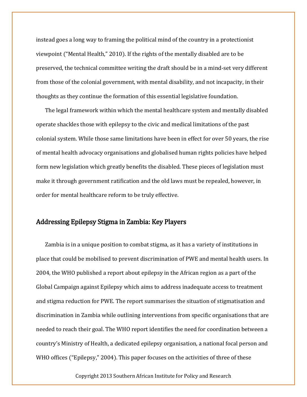instead goes a long way to framing the political mind of the country in a protectionist viewpoint ("Mental Health," 2010). If the rights of the mentally disabled are to be preserved, the technical committee writing the draft should be in a mind-set very different from those of the colonial government, with mental disability, and not incapacity, in their thoughts as they continue the formation of this essential legislative foundation.

The legal framework within which the mental healthcare system and mentally disabled operate shackles those with epilepsy to the civic and medical limitations of the past colonial system. While those same limitations have been in effect for over 50 years, the rise of mental health advocacy organisations and globalised human rights policies have helped form new legislation which greatly benefits the disabled. These pieces of legislation must make it through government ratification and the old laws must be repealed, however, in order for mental healthcare reform to be truly effective.

## Addressing Epilepsy Stigma in Zambia: Key Players

Zambia is in a unique position to combat stigma, as it has a variety of institutions in place that could be mobilised to prevent discrimination of PWE and mental health users. In 2004, the WHO published a report about epilepsy in the African region as a part of the Global Campaign against Epilepsy which aims to address inadequate access to treatment and stigma reduction for PWE. The report summarises the situation of stigmatisation and discrimination in Zambia while outlining interventions from specific organisations that are needed to reach their goal. The WHO report identifies the need for coordination between a country's Ministry of Health, a dedicated epilepsy organisation, a national focal person and WHO offices ("Epilepsy," 2004). This paper focuses on the activities of three of these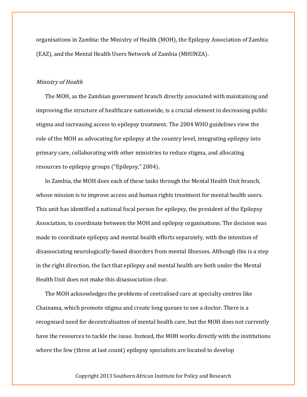organisations in Zambia: the Ministry of Health (MOH), the Epilepsy Association of Zambia (EAZ), and the Mental Health Users Network of Zambia (MHUNZA).

#### Ministry of Health

The MOH, as the Zambian government branch directly associated with maintaining and improving the structure of healthcare nationwide, is a crucial element in decreasing public stigma and increasing access to epilepsy treatment. The 2004 WHO guidelines view the role of the MOH as advocating for epilepsy at the country level, integrating epilepsy into primary care, collaborating with other ministries to reduce stigma, and allocating resources to epilepsy groups ("Epilepsy," 2004).

In Zambia, the MOH does each of these tasks through the Mental Health Unit branch, whose mission is to improve access and human rights treatment for mental health users. This unit has identified a national focal person for epilepsy, the president of the Epilepsy Association, to coordinate between the MOH and epilepsy organisations. The decision was made to coordinate epilepsy and mental health efforts separately, with the intention of disassociating neurologically-based disorders from mental illnesses. Although this is a step in the right direction, the fact that epilepsy and mental health are both under the Mental Health Unit does not make this disassociation clear.

The MOH acknowledges the problems of centralised care at specialty centres like Chainama, which promote stigma and create long queues to see a doctor. There is a recognised need for decentralisation of mental health care, but the MOH does not currently have the resources to tackle the issue. Instead, the MOH works directly with the institutions where the few (three at last count) epilepsy specialists are located to develop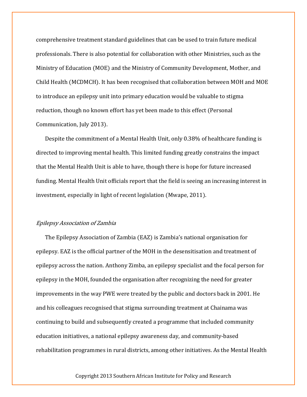comprehensive treatment standard guidelines that can be used to train future medical professionals. There is also potential for collaboration with other Ministries, such as the Ministry of Education (MOE) and the Ministry of Community Development, Mother, and Child Health (MCDMCH). It has been recognised that collaboration between MOH and MOE to introduce an epilepsy unit into primary education would be valuable to stigma reduction, though no known effort has yet been made to this effect (Personal Communication, July 2013).

Despite the commitment of a Mental Health Unit, only 0.38% of healthcare funding is directed to improving mental health. This limited funding greatly constrains the impact that the Mental Health Unit is able to have, though there is hope for future increased funding. Mental Health Unit officials report that the field is seeing an increasing interest in investment, especially in light of recent legislation (Mwape, 2011).

#### Epilepsy Association of Zambia

The Epilepsy Association of Zambia (EAZ) is Zambia's national organisation for epilepsy. EAZ is the official partner of the MOH in the desensitisation and treatment of epilepsy across the nation. Anthony Zimba, an epilepsy specialist and the focal person for epilepsy in the MOH, founded the organisation after recognizing the need for greater improvements in the way PWE were treated by the public and doctors back in 2001. He and his colleagues recognised that stigma surrounding treatment at Chainama was continuing to build and subsequently created a programme that included community education initiatives, a national epilepsy awareness day, and community-based rehabilitation programmes in rural districts, among other initiatives. As the Mental Health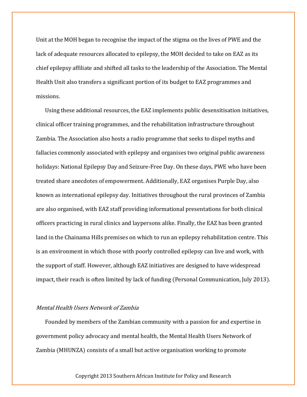Unit at the MOH began to recognise the impact of the stigma on the lives of PWE and the lack of adequate resources allocated to epilepsy, the MOH decided to take on EAZ as its chief epilepsy affiliate and shifted all tasks to the leadership of the Association. The Mental Health Unit also transfers a significant portion of its budget to EAZ programmes and missions.

Using these additional resources, the EAZ implements public desensitisation initiatives, clinical officer training programmes, and the rehabilitation infrastructure throughout Zambia. The Association also hosts a radio programme that seeks to dispel myths and fallacies commonly associated with epilepsy and organises two original public awareness holidays: National Epilepsy Day and Seizure-Free Day. On these days, PWE who have been treated share anecdotes of empowerment. Additionally, EAZ organises Purple Day, also known as international epilepsy day. Initiatives throughout the rural provinces of Zambia are also organised, with EAZ staff providing informational presentations for both clinical officers practicing in rural clinics and laypersons alike. Finally, the EAZ has been granted land in the Chainama Hills premises on which to run an epilepsy rehabilitation centre. This is an environment in which those with poorly controlled epilepsy can live and work, with the support of staff. However, although EAZ initiatives are designed to have widespread impact, their reach is often limited by lack of funding (Personal Communication, July 2013).

#### Mental Health Users Network of Zambia

Founded by members of the Zambian community with a passion for and expertise in government policy advocacy and mental health, the Mental Health Users Network of Zambia (MHUNZA) consists of a small but active organisation working to promote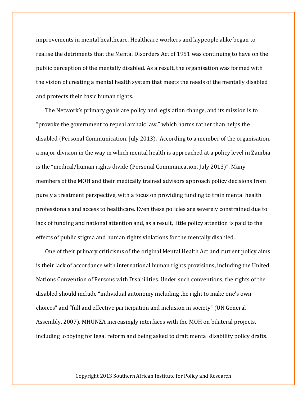improvements in mental healthcare. Healthcare workers and laypeople alike began to realise the detriments that the Mental Disorders Act of 1951 was continuing to have on the public perception of the mentally disabled. As a result, the organisation was formed with the vision of creating a mental health system that meets the needs of the mentally disabled and protects their basic human rights.

The Network's primary goals are policy and legislation change, and its mission is to "provoke the government to repeal archaic law," which harms rather than helps the disabled (Personal Communication, July 2013). According to a member of the organisation, a major division in the way in which mental health is approached at a policy level in Zambia is the "medical/human rights divide (Personal Communication, July 2013)". Many members of the MOH and their medically trained advisors approach policy decisions from purely a treatment perspective, with a focus on providing funding to train mental health professionals and access to healthcare. Even these policies are severely constrained due to lack of funding and national attention and, as a result, little policy attention is paid to the effects of public stigma and human rights violations for the mentally disabled.

One of their primary criticisms of the original Mental Health Act and current policy aims is their lack of accordance with international human rights provisions, including the United Nations Convention of Persons with Disabilities. Under such conventions, the rights of the disabled should include "individual autonomy including the right to make one's own choices" and "full and effective participation and inclusion in society" (UN General Assembly, 2007). MHUNZA increasingly interfaces with the MOH on bilateral projects, including lobbying for legal reform and being asked to draft mental disability policy drafts.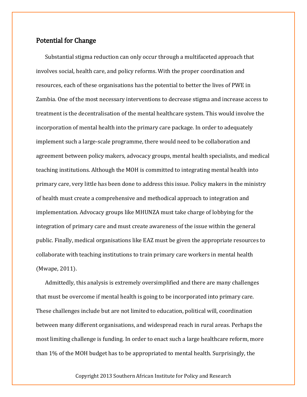## Potential for Change

Substantial stigma reduction can only occur through a multifaceted approach that involves social, health care, and policy reforms. With the proper coordination and resources, each of these organisations has the potential to better the lives of PWE in Zambia. One of the most necessary interventions to decrease stigma and increase access to treatment is the decentralisation of the mental healthcare system. This would involve the incorporation of mental health into the primary care package. In order to adequately implement such a large-scale programme, there would need to be collaboration and agreement between policy makers, advocacy groups, mental health specialists, and medical teaching institutions. Although the MOH is committed to integrating mental health into primary care, very little has been done to address this issue. Policy makers in the ministry of health must create a comprehensive and methodical approach to integration and implementation. Advocacy groups like MHUNZA must take charge of lobbying for the integration of primary care and must create awareness of the issue within the general public. Finally, medical organisations like EAZ must be given the appropriate resources to collaborate with teaching institutions to train primary care workers in mental health (Mwape, 2011).

Admittedly, this analysis is extremely oversimplified and there are many challenges that must be overcome if mental health is going to be incorporated into primary care. These challenges include but are not limited to education, political will, coordination between many different organisations, and widespread reach in rural areas. Perhaps the most limiting challenge is funding. In order to enact such a large healthcare reform, more than 1% of the MOH budget has to be appropriated to mental health. Surprisingly, the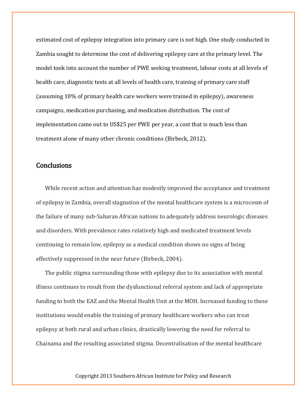estimated cost of epilepsy integration into primary care is not high. One study conducted in Zambia sought to determine the cost of delivering epilepsy care at the primary level. The model took into account the number of PWE seeking treatment, labour costs at all levels of health care, diagnostic tests at all levels of health care, training of primary care staff (assuming 10% of primary health care workers were trained in epilepsy), awareness campaigns, medication purchasing, and medication distribution. The cost of implementation came out to US\$25 per PWE per year, a cost that is much less than treatment alone of many other chronic conditions (Birbeck, 2012).

## **Conclusions**

While recent action and attention has modestly improved the acceptance and treatment of epilepsy in Zambia, overall stagnation of the mental healthcare system is a microcosm of the failure of many sub-Saharan African nations to adequately address neurologic diseases and disorders. With prevalence rates relatively high and medicated treatment levels continuing to remain low, epilepsy as a medical condition shows no signs of being effectively suppressed in the near future (Birbeck, 2004).

The public stigma surrounding those with epilepsy due to its association with mental illness continues to result from the dysfunctional referral system and lack of appropriate funding to both the EAZ and the Mental Health Unit at the MOH. Increased funding to these institutions would enable the training of primary healthcare workers who can treat epilepsy at both rural and urban clinics, drastically lowering the need for referral to Chainama and the resulting associated stigma. Decentralisation of the mental healthcare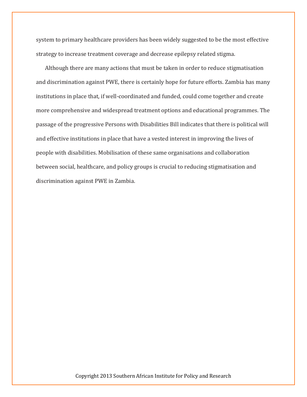system to primary healthcare providers has been widely suggested to be the most effective strategy to increase treatment coverage and decrease epilepsy related stigma.

Although there are many actions that must be taken in order to reduce stigmatisation and discrimination against PWE, there is certainly hope for future efforts. Zambia has many institutions in place that, if well-coordinated and funded, could come together and create more comprehensive and widespread treatment options and educational programmes. The passage of the progressive Persons with Disabilities Bill indicates that there is political will and effective institutions in place that have a vested interest in improving the lives of people with disabilities. Mobilisation of these same organisations and collaboration between social, healthcare, and policy groups is crucial to reducing stigmatisation and discrimination against PWE in Zambia.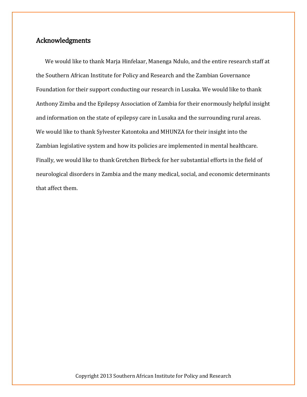## Acknowledgments

We would like to thank Marja Hinfelaar, Manenga Ndulo, and the entire research staff at the Southern African Institute for Policy and Research and the Zambian Governance Foundation for their support conducting our research in Lusaka. We would like to thank Anthony Zimba and the Epilepsy Association of Zambia for their enormously helpful insight and information on the state of epilepsy care in Lusaka and the surrounding rural areas. We would like to thank Sylvester Katontoka and MHUNZA for their insight into the Zambian legislative system and how its policies are implemented in mental healthcare. Finally, we would like to thank Gretchen Birbeck for her substantial efforts in the field of neurological disorders in Zambia and the many medical, social, and economic determinants that affect them.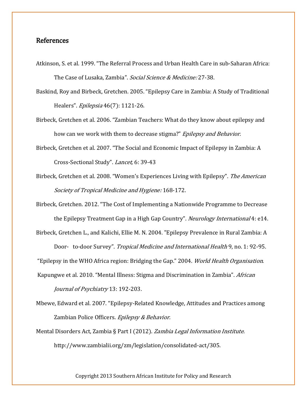## References

- Atkinson, S. et al. 1999. "The Referral Process and Urban Health Care in sub-Saharan Africa: The Case of Lusaka, Zambia". Social Science & Medicine: 27-38.
- Baskind, Roy and Birbeck, Gretchen. 2005. "Epilepsy Care in Zambia: A Study of Traditional Healers". Epilepsia 46(7): 1121-26.
- Birbeck, Gretchen et al. 2006. "Zambian Teachers: What do they know about epilepsy and how can we work with them to decrease stigma?" Epilepsy and Behavior.
- Birbeck, Gretchen et al. 2007. "The Social and Economic Impact of Epilepsy in Zambia: A Cross-Sectional Study". Lancet, 6: 39-43
- Birbeck, Gretchen et al. 2008. "Women's Experiences Living with Epilepsy". The American Society of Tropical Medicine and Hygiene: 168-172.

Birbeck, Gretchen. 2012. "The Cost of Implementing a Nationwide Programme to Decrease the Epilepsy Treatment Gap in a High Gap Country". *Neurology International* 4: e14.

Birbeck, Gretchen L., and Kalichi, Ellie M. N. 2004. "Epilepsy Prevalence in Rural Zambia: A Door- to-door Survey". Tropical Medicine and International Health 9, no. 1: 92-95.

"Epilepsy in the WHO Africa region: Bridging the Gap." 2004. *World Health Organisation*.

- Kapungwe et al. 2010. "Mental Illness: Stigma and Discrimination in Zambia". African Journal of Psychiatry 13: 192-203.
- Mbewe, Edward et al. 2007. "Epilepsy-Related Knowledge, Attitudes and Practices among Zambian Police Officers. Epilepsy & Behavior.
- Mental Disorders Act, Zambia § Part I (2012). *Zambia Legal Information Institute*. http://www.zambialii.org/zm/legislation/consolidated-act/305.